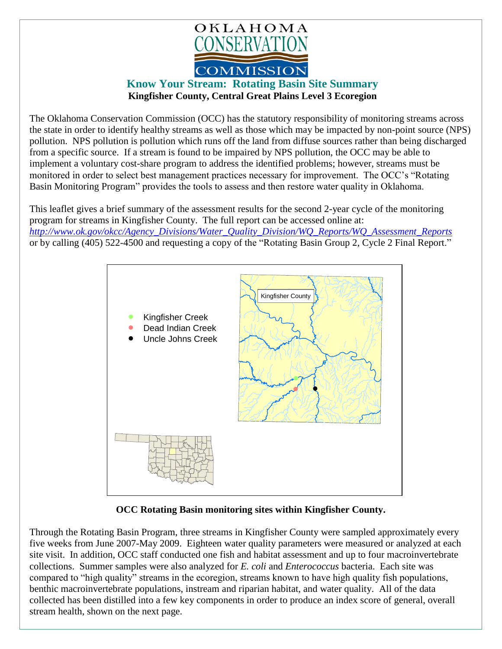

## **Know Your Stream: Rotating Basin Site Summary Kingfisher County, Central Great Plains Level 3 Ecoregion**

The Oklahoma Conservation Commission (OCC) has the statutory responsibility of monitoring streams across the state in order to identify healthy streams as well as those which may be impacted by non-point source (NPS) pollution. NPS pollution is pollution which runs off the land from diffuse sources rather than being discharged from a specific source. If a stream is found to be impaired by NPS pollution, the OCC may be able to implement a voluntary cost-share program to address the identified problems; however, streams must be monitored in order to select best management practices necessary for improvement. The OCC's "Rotating Basin Monitoring Program" provides the tools to assess and then restore water quality in Oklahoma.

This leaflet gives a brief summary of the assessment results for the second 2-year cycle of the monitoring program for streams in Kingfisher County. The full report can be accessed online at: *[http://www.ok.gov/okcc/Agency\\_Divisions/Water\\_Quality\\_Division/WQ\\_Reports/WQ\\_Assessment\\_Reports](http://www.ok.gov/okcc/Agency_Divisions/Water_Quality_Division/WQ_Reports/WQ_Assessment_Reports)* or by calling (405) 522-4500 and requesting a copy of the "Rotating Basin Group 2, Cycle 2 Final Report."



**OCC Rotating Basin monitoring sites within Kingfisher County.**

Through the Rotating Basin Program, three streams in Kingfisher County were sampled approximately every five weeks from June 2007-May 2009. Eighteen water quality parameters were measured or analyzed at each site visit. In addition, OCC staff conducted one fish and habitat assessment and up to four macroinvertebrate collections. Summer samples were also analyzed for *E. coli* and *Enterococcus* bacteria. Each site was compared to "high quality" streams in the ecoregion, streams known to have high quality fish populations, benthic macroinvertebrate populations, instream and riparian habitat, and water quality. All of the data collected has been distilled into a few key components in order to produce an index score of general, overall stream health, shown on the next page.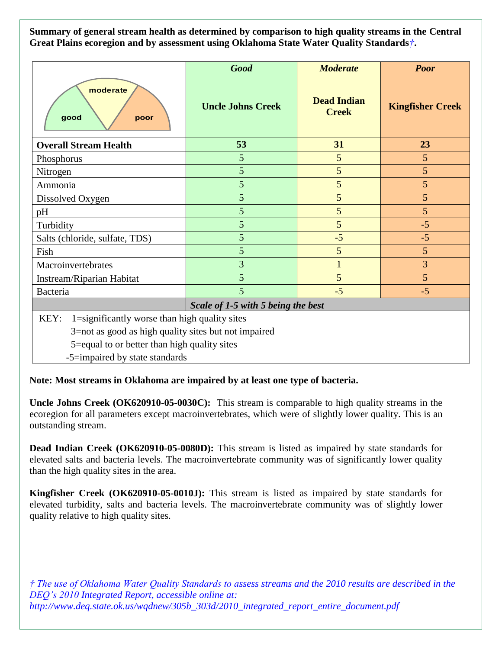**Summary of general stream health as determined by comparison to high quality streams in the Central Great Plains ecoregion and by assessment using Oklahoma State Water Quality Standards***†***.**

|                                                       | <b>Good</b>              | <b>Moderate</b>                    | <b>Poor</b>             |
|-------------------------------------------------------|--------------------------|------------------------------------|-------------------------|
| moderate<br>good<br>poor                              | <b>Uncle Johns Creek</b> | <b>Dead Indian</b><br><b>Creek</b> | <b>Kingfisher Creek</b> |
| <b>Overall Stream Health</b>                          | 53                       | 31                                 | 23                      |
| Phosphorus                                            | 5                        | 5                                  | $5\overline{)}$         |
| Nitrogen                                              | 5                        | 5                                  | 5                       |
| Ammonia                                               | 5                        | 5                                  | $\overline{5}$          |
| Dissolved Oxygen                                      | 5                        | 5                                  | 5                       |
| pH                                                    | 5                        | 5                                  | 5                       |
| Turbidity                                             | 5                        | 5                                  | $-5$                    |
| Salts (chloride, sulfate, TDS)                        | 5                        | $-5$                               | $-5$                    |
| Fish                                                  | 5                        | 5                                  | $5\overline{)}$         |
| Macroinvertebrates                                    | $\overline{3}$           | $\mathbf{1}$                       | 3                       |
| Instream/Riparian Habitat                             | 5                        | 5                                  | 5                       |
| Bacteria                                              | 5                        | $-5$                               | $-5$                    |
| Scale of 1-5 with 5 being the best                    |                          |                                    |                         |
| 1=significantly worse than high quality sites<br>KEY: |                          |                                    |                         |
| 3=not as good as high quality sites but not impaired  |                          |                                    |                         |
| 5=equal to or better than high quality sites          |                          |                                    |                         |
| -5=impaired by state standards                        |                          |                                    |                         |

**Note: Most streams in Oklahoma are impaired by at least one type of bacteria.**

**Uncle Johns Creek (OK620910-05-0030C):** This stream is comparable to high quality streams in the ecoregion for all parameters except macroinvertebrates, which were of slightly lower quality. This is an outstanding stream.

**Dead Indian Creek (OK620910-05-0080D):** This stream is listed as impaired by state standards for elevated salts and bacteria levels. The macroinvertebrate community was of significantly lower quality than the high quality sites in the area.

**Kingfisher Creek (OK620910-05-0010J):** This stream is listed as impaired by state standards for elevated turbidity, salts and bacteria levels. The macroinvertebrate community was of slightly lower quality relative to high quality sites.

*† The use of Oklahoma Water Quality Standards to assess streams and the 2010 results are described in the DEQ's 2010 Integrated Report, accessible online at: http://www.deq.state.ok.us/wqdnew/305b\_303d/2010\_integrated\_report\_entire\_document.pdf*